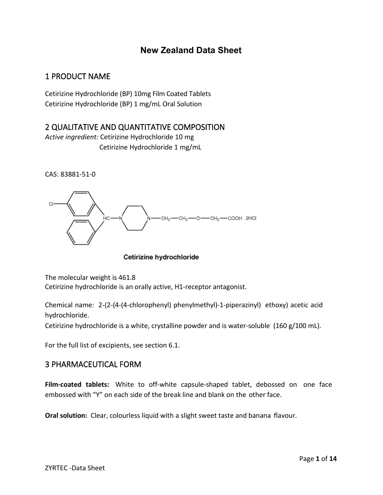# **New Zealand Data Sheet**

# 1 PRODUCT NAME

Cetirizine Hydrochloride (BP) 10mg Film Coated Tablets Cetirizine Hydrochloride (BP) 1 mg/mL Oral Solution

# 2 QUALITATIVE AND QUANTITATIVE COMPOSITION

*Active ingredient:* Cetirizine Hydrochloride 10 mg Cetirizine Hydrochloride 1 mg/mL

CAS: 83881-51-0



### Cetirizine hydrochloride

The molecular weight is 461.8 Cetirizine hydrochloride is an orally active, H1-receptor antagonist.

Chemical name: 2-(2-(4-(4-chlorophenyl) phenylmethyl)-1-piperazinyl) ethoxy) acetic acid hydrochloride.

Cetirizine hydrochloride is a white, crystalline powder and is water-soluble (160 g/100 mL).

For the full list of excipients, see section 6.1.

# 3 PHARMACEUTICAL FORM

**Film-coated tablets:** White to off-white capsule-shaped tablet, debossed on one face embossed with "Y" on each side of the break line and blank on the other face.

**Oral solution:** Clear, colourless liquid with a slight sweet taste and banana flavour.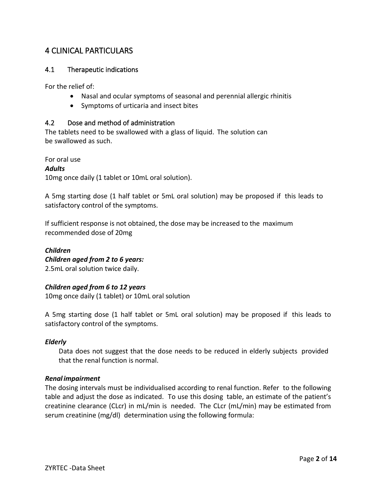# 4 CLINICAL PARTICULARS

# 4.1 Therapeutic indications

For the relief of:

- Nasal and ocular symptoms of seasonal and perennial allergic rhinitis
- Symptoms of urticaria and insect bites

# 4.2 Dose and method of administration

The tablets need to be swallowed with a glass of liquid. The solution can be swallowed as such.

For oral use

### *Adults*

10mg once daily (1 tablet or 10mL oral solution).

A 5mg starting dose (1 half tablet or 5mL oral solution) may be proposed if this leads to satisfactory control of the symptoms.

If sufficient response is not obtained, the dose may be increased to the maximum recommended dose of 20mg

*Children Children aged from 2 to 6 years:* 2.5mL oral solution twice daily.

# *Children aged from 6 to 12 years*

10mg once daily (1 tablet) or 10mL oral solution

A 5mg starting dose (1 half tablet or 5mL oral solution) may be proposed if this leads to satisfactory control of the symptoms.

# *Elderly*

Data does not suggest that the dose needs to be reduced in elderly subjects provided that the renal function is normal.

# *Renal impairment*

The dosing intervals must be individualised according to renal function. Refer to the following table and adjust the dose as indicated. To use this dosing table, an estimate of the patient's creatinine clearance (CLcr) in mL/min is needed. The CLcr (mL/min) may be estimated from serum creatinine (mg/dl) determination using the following formula: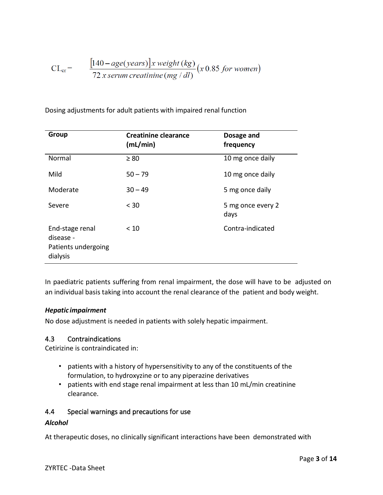$$
CL_{cr} = \frac{[140 - age(years)]x weight (kg)}{72 x serum creationine (mg / dl)} (x 0.85 for women)
$$

Dosing adjustments for adult patients with impaired renal function

| Group                                                           | <b>Creatinine clearance</b><br>(mL/min) | Dosage and<br>frequency   |
|-----------------------------------------------------------------|-----------------------------------------|---------------------------|
| Normal                                                          | $\geq 80$                               | 10 mg once daily          |
| Mild                                                            | $50 - 79$                               | 10 mg once daily          |
| Moderate                                                        | $30 - 49$                               | 5 mg once daily           |
| Severe                                                          | < 30                                    | 5 mg once every 2<br>days |
| End-stage renal<br>disease -<br>Patients undergoing<br>dialysis | < 10                                    | Contra-indicated          |

In paediatric patients suffering from renal impairment, the dose will have to be adjusted on an individual basis taking into account the renal clearance of the patient and body weight.

### *Hepatic impairment*

No dose adjustment is needed in patients with solely hepatic impairment.

### 4.3 Contraindications

Cetirizine is contraindicated in:

- patients with a history of hypersensitivity to any of the constituents of the formulation, to hydroxyzine or to any piperazine derivatives
- patients with end stage renal impairment at less than 10 mL/min creatinine clearance.

### 4.4 Special warnings and precautions for use

### *Alcohol*

At therapeutic doses, no clinically significant interactions have been demonstrated with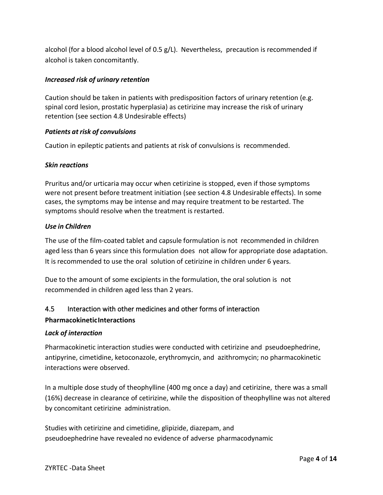alcohol (for a blood alcohol level of 0.5 g/L). Nevertheless, precaution is recommended if alcohol is taken concomitantly.

# *Increased risk of urinary retention*

Caution should be taken in patients with predisposition factors of urinary retention (e.g. spinal cord lesion, prostatic hyperplasia) as cetirizine may increase the risk of urinary retention (see section 4.8 Undesirable effects)

# *Patients at risk of convulsions*

Caution in epileptic patients and patients at risk of convulsions is recommended.

# *Skin reactions*

Pruritus and/or urticaria may occur when cetirizine is stopped, even if those symptoms were not present before treatment initiation (see section 4.8 Undesirable effects). In some cases, the symptoms may be intense and may require treatment to be restarted. The symptoms should resolve when the treatment is restarted.

# *Use in Children*

The use of the film-coated tablet and capsule formulation is not recommended in children aged less than 6 years since this formulation does not allow for appropriate dose adaptation. It is recommended to use the oral solution of cetirizine in children under 6 years.

Due to the amount of some excipients in the formulation, the oral solution is not recommended in children aged less than 2 years.

# 4.5 Interaction with other medicines and other forms of interaction

# **PharmacokineticInteractions**

# *Lack of interaction*

Pharmacokinetic interaction studies were conducted with cetirizine and pseudoephedrine, antipyrine, cimetidine, ketoconazole, erythromycin, and azithromycin; no pharmacokinetic interactions were observed.

In a multiple dose study of theophylline (400 mg once a day) and cetirizine, there was a small (16%) decrease in clearance of cetirizine, while the disposition of theophylline was not altered by concomitant cetirizine administration.

Studies with cetirizine and cimetidine, glipizide, diazepam, and pseudoephedrine have revealed no evidence of adverse pharmacodynamic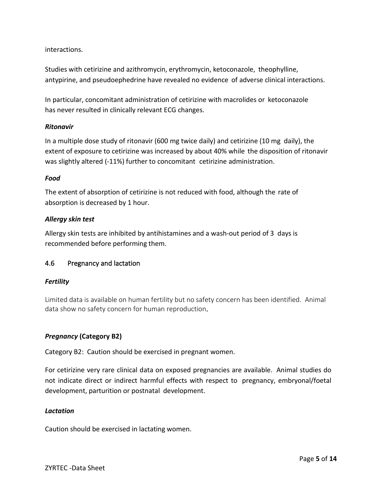interactions.

Studies with cetirizine and azithromycin, erythromycin, ketoconazole, theophylline, antypirine, and pseudoephedrine have revealed no evidence of adverse clinical interactions.

In particular, concomitant administration of cetirizine with macrolides or ketoconazole has never resulted in clinically relevant ECG changes.

# *Ritonavir*

In a multiple dose study of ritonavir (600 mg twice daily) and cetirizine (10 mg daily), the extent of exposure to cetirizine was increased by about 40% while the disposition of ritonavir was slightly altered (-11%) further to concomitant cetirizine administration.

### *Food*

The extent of absorption of cetirizine is not reduced with food, although the rate of absorption is decreased by 1 hour.

# *Allergy skin test*

Allergy skin tests are inhibited by antihistamines and a wash-out period of 3 days is recommended before performing them.

# 4.6 Pregnancy and lactation

# *Fertility*

Limited data is available on human fertility but no safety concern has been identified. Animal data show no safety concern for human reproduction.

# *Pregnancy* **(Category B2)**

Category B2: Caution should be exercised in pregnant women.

For cetirizine very rare clinical data on exposed pregnancies are available. Animal studies do not indicate direct or indirect harmful effects with respect to pregnancy, embryonal/foetal development, parturition or postnatal development.

# *Lactation*

Caution should be exercised in lactating women.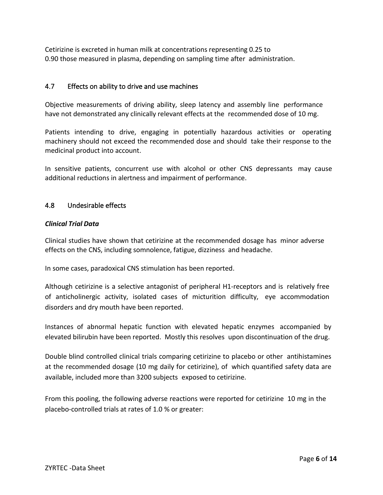Cetirizine is excreted in human milk at concentrations representing 0.25 to 0.90 those measured in plasma, depending on sampling time after administration.

# 4.7 Effects on ability to drive and use machines

Objective measurements of driving ability, sleep latency and assembly line performance have not demonstrated any clinically relevant effects at the recommended dose of 10 mg.

Patients intending to drive, engaging in potentially hazardous activities or operating machinery should not exceed the recommended dose and should take their response to the medicinal product into account.

In sensitive patients, concurrent use with alcohol or other CNS depressants may cause additional reductions in alertness and impairment of performance.

# 4.8 Undesirable effects

### *Clinical Trial Data*

Clinical studies have shown that cetirizine at the recommended dosage has minor adverse effects on the CNS, including somnolence, fatigue, dizziness and headache.

In some cases, paradoxical CNS stimulation has been reported.

Although cetirizine is a selective antagonist of peripheral H1-receptors and is relatively free of anticholinergic activity, isolated cases of micturition difficulty, eye accommodation disorders and dry mouth have been reported.

Instances of abnormal hepatic function with elevated hepatic enzymes accompanied by elevated bilirubin have been reported. Mostly this resolves upon discontinuation of the drug.

Double blind controlled clinical trials comparing cetirizine to placebo or other antihistamines at the recommended dosage (10 mg daily for cetirizine), of which quantified safety data are available, included more than 3200 subjects exposed to cetirizine.

From this pooling, the following adverse reactions were reported for cetirizine 10 mg in the placebo-controlled trials at rates of 1.0 % or greater: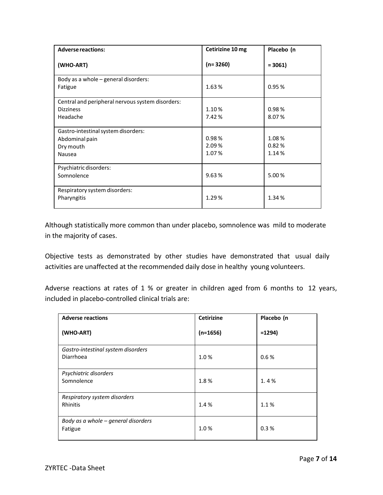| <b>Adverse reactions:</b>                        | Cetirizine 10 mg | Placebo (n |
|--------------------------------------------------|------------------|------------|
| (WHO-ART)                                        | $(n=3260)$       | $= 3061$   |
| Body as a whole - general disorders:             |                  |            |
| Fatigue                                          | 1.63%            | 0.95%      |
| Central and peripheral nervous system disorders: |                  |            |
| <b>Dizziness</b>                                 | 1.10%            | 0.98%      |
| Headache                                         | 7.42%            | 8.07%      |
| Gastro-intestinal system disorders:              |                  |            |
| Abdominal pain                                   | 0.98%            | 1.08%      |
| Dry mouth                                        | 2.09%            | 0.82%      |
| Nausea                                           | 1.07%            | 1.14 %     |
| Psychiatric disorders:                           |                  |            |
| Somnolence                                       | 9.63%            | 5.00%      |
| Respiratory system disorders:                    |                  |            |
| Pharyngitis                                      | 1.29%            | 1.34 %     |

Although statistically more common than under placebo, somnolence was mild to moderate in the majority of cases.

Objective tests as demonstrated by other studies have demonstrated that usual daily activities are unaffected at the recommended daily dose in healthy young volunteers.

Adverse reactions at rates of 1 % or greater in children aged from 6 months to 12 years, included in placebo-controlled clinical trials are:

| <b>Adverse reactions</b>                        | <b>Cetirizine</b> | Placebo (n |
|-------------------------------------------------|-------------------|------------|
| (WHO-ART)                                       | $(n=1656)$        | $=1294)$   |
| Gastro-intestinal system disorders<br>Diarrhoea | 1.0%              | 0.6%       |
| Psychiatric disorders<br>Somnolence             | 1.8%              | 1.4%       |
| Respiratory system disorders<br>Rhinitis        | 1.4%              | 1.1%       |
| Body as a whole – general disorders<br>Fatigue  | 1.0%              | 0.3%       |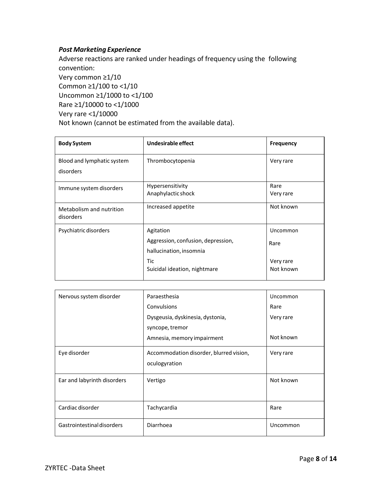# *Post Marketing Experience*

Adverse reactions are ranked under headings of frequency using the following convention: Very common ≥1/10 Common ≥1/100 to <1/10 Uncommon ≥1/1000 to <1/100 Rare ≥1/10000 to <1/1000 Very rare <1/10000 Not known (cannot be estimated from the available data).

| <b>Body System</b>                      | <b>Undesirable effect</b>                                                  | <b>Frequency</b>       |
|-----------------------------------------|----------------------------------------------------------------------------|------------------------|
| Blood and lymphatic system<br>disorders | Thrombocytopenia                                                           | Very rare              |
| Immune system disorders                 | Hypersensitivity<br>Anaphylactic shock                                     | Rare<br>Very rare      |
| Metabolism and nutrition<br>disorders   | Increased appetite                                                         | Not known              |
| Psychiatric disorders                   | Agitation<br>Aggression, confusion, depression,<br>hallucination, insomnia | Uncommon<br>Rare       |
|                                         | Tic<br>Suicidal ideation, nightmare                                        | Very rare<br>Not known |

| Nervous system disorder     | Paraesthesia                            | Uncommon  |
|-----------------------------|-----------------------------------------|-----------|
|                             | Convulsions                             | Rare      |
|                             | Dysgeusia, dyskinesia, dystonia,        | Very rare |
|                             | syncope, tremor                         |           |
|                             | Amnesia, memory impairment              | Not known |
| Eye disorder                | Accommodation disorder, blurred vision, | Very rare |
|                             | oculogyration                           |           |
| Ear and labyrinth disorders | Vertigo                                 | Not known |
|                             |                                         |           |
| Cardiac disorder            | Tachycardia                             | Rare      |
| Gastrointestinal disorders  | Diarrhoea                               | Uncommon  |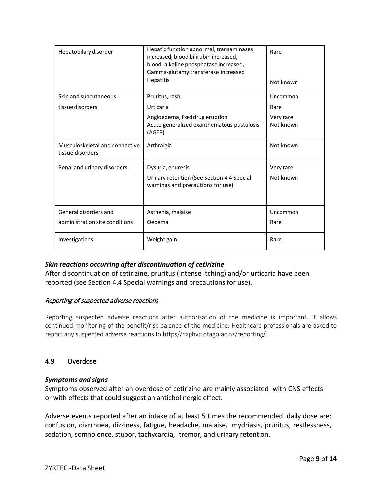| Hepatobilary disorder                                   | Hepatic function abnormal, transaminases<br>increased, blood bilirubin increased,<br>blood alkaline phosphatase increased,<br>Gamma-glutamyltransferase increased<br><b>Hepatitis</b> | Rare<br>Not known      |
|---------------------------------------------------------|---------------------------------------------------------------------------------------------------------------------------------------------------------------------------------------|------------------------|
| Skin and subcutaneous                                   | Pruritus, rash                                                                                                                                                                        | Uncommon               |
| tissue disorders                                        | Urticaria                                                                                                                                                                             | Rare                   |
|                                                         | Angioedema, fixed drug eruption<br>Acute generalized exanthematous pustulosis<br>(AGEP)                                                                                               | Very rare<br>Not known |
| Musculoskeletal and connective<br>tissue disorders      | Arthralgia                                                                                                                                                                            | Not known              |
| Renal and urinary disorders                             | Dysuria, enuresis<br>Urinary retention (See Section 4.4 Special<br>warnings and precautions for use)                                                                                  | Very rare<br>Not known |
| General disorders and<br>administration site conditions | Asthenia, malaise<br>Oedema                                                                                                                                                           | Uncommon<br>Rare       |
| Investigations                                          | Weight gain                                                                                                                                                                           | Rare                   |

# *Skin reactions occurring after discontinuation of cetirizine*

After discontinuation of cetirizine, pruritus (intense itching) and/or urticaria have been reported (see Section 4.4 Special warnings and precautions for use).

# Reporting of suspected adverse reactions

Reporting suspected adverse reactions after authorisation of the medicine is important. It allows continued monitoring of the benefit/risk balance of the medicine. Healthcare professionals are asked to report any suspected adverse reactions to https//nzphvc.otago.ac.nz/reporting/.

# 4.9 Overdose

# *Symptoms and signs*

Symptoms observed after an overdose of cetirizine are mainly associated with CNS effects or with effects that could suggest an anticholinergic effect.

Adverse events reported after an intake of at least 5 times the recommended daily dose are: confusion, diarrhoea, dizziness, fatigue, headache, malaise, mydriasis, pruritus, restlessness, sedation, somnolence, stupor, tachycardia, tremor, and urinary retention.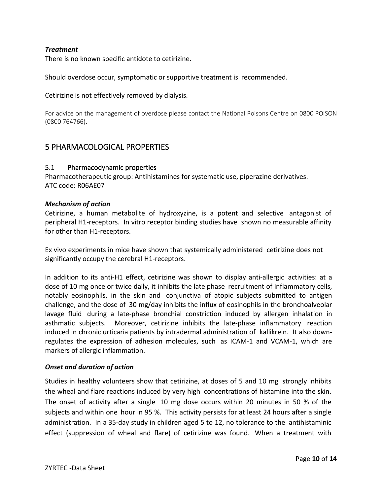# *Treatment*

There is no known specific antidote to cetirizine.

Should overdose occur, symptomatic or supportive treatment is recommended.

### Cetirizine is not effectively removed by dialysis.

For advice on the management of overdose please contact the National Poisons Centre on 0800 POISON (0800 764766).

# 5 PHARMACOLOGICAL PROPERTIES

# 5.1 Pharmacodynamic properties

Pharmacotherapeutic group: Antihistamines for systematic use, piperazine derivatives. ATC code: R06AE07

### *Mechanism of action*

Cetirizine, a human metabolite of hydroxyzine, is a potent and selective antagonist of peripheral H1-receptors. In vitro receptor binding studies have shown no measurable affinity for other than H1-receptors.

Ex vivo experiments in mice have shown that systemically administered cetirizine does not significantly occupy the cerebral H1-receptors.

In addition to its anti-H1 effect, cetirizine was shown to display anti-allergic activities: at a dose of 10 mg once or twice daily, it inhibits the late phase recruitment of inflammatory cells, notably eosinophils, in the skin and conjunctiva of atopic subjects submitted to antigen challenge, and the dose of 30 mg/day inhibits the influx of eosinophils in the bronchoalveolar lavage fluid during a late-phase bronchial constriction induced by allergen inhalation in asthmatic subjects. Moreover, cetirizine inhibits the late-phase inflammatory reaction induced in chronic urticaria patients by intradermal administration of kallikrein. It also downregulates the expression of adhesion molecules, such as ICAM-1 and VCAM-1, which are markers of allergic inflammation.

### *Onset and duration of action*

Studies in healthy volunteers show that cetirizine, at doses of 5 and 10 mg strongly inhibits the wheal and flare reactions induced by very high concentrations of histamine into the skin. The onset of activity after a single 10 mg dose occurs within 20 minutes in 50 % of the subjects and within one hour in 95 %. This activity persists for at least 24 hours after a single administration. In a 35-day study in children aged 5 to 12, no tolerance to the antihistaminic effect (suppression of wheal and flare) of cetirizine was found. When a treatment with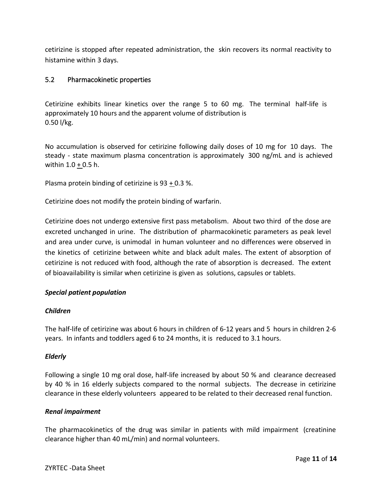cetirizine is stopped after repeated administration, the skin recovers its normal reactivity to histamine within 3 days.

# 5.2 Pharmacokinetic properties

Cetirizine exhibits linear kinetics over the range 5 to 60 mg. The terminal half-life is approximately 10 hours and the apparent volume of distribution is 0.50 l/kg.

No accumulation is observed for cetirizine following daily doses of 10 mg for 10 days. The steady - state maximum plasma concentration is approximately 300 ng/mL and is achieved within  $1.0 + 0.5$  h.

Plasma protein binding of cetirizine is 93  $\pm$  0.3 %.

Cetirizine does not modify the protein binding of warfarin.

Cetirizine does not undergo extensive first pass metabolism. About two third of the dose are excreted unchanged in urine. The distribution of pharmacokinetic parameters as peak level and area under curve, is unimodal in human volunteer and no differences were observed in the kinetics of cetirizine between white and black adult males. The extent of absorption of cetirizine is not reduced with food, although the rate of absorption is decreased. The extent of bioavailability is similar when cetirizine is given as solutions, capsules or tablets.

# *Special patient population*

# *Children*

The half-life of cetirizine was about 6 hours in children of 6-12 years and 5 hours in children 2-6 years. In infants and toddlers aged 6 to 24 months, it is reduced to 3.1 hours.

# *Elderly*

Following a single 10 mg oral dose, half-life increased by about 50 % and clearance decreased by 40 % in 16 elderly subjects compared to the normal subjects. The decrease in cetirizine clearance in these elderly volunteers appeared to be related to their decreased renal function.

# *Renal impairment*

The pharmacokinetics of the drug was similar in patients with mild impairment (creatinine clearance higher than 40 mL/min) and normal volunteers.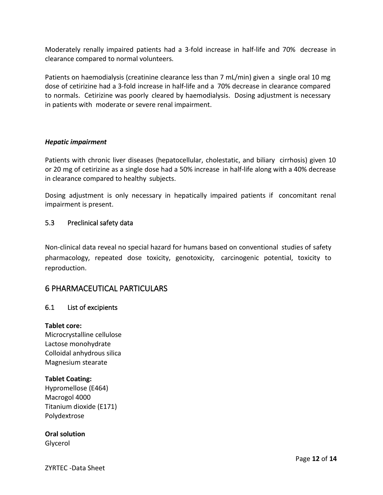Moderately renally impaired patients had a 3-fold increase in half-life and 70% decrease in clearance compared to normal volunteers.

Patients on haemodialysis (creatinine clearance less than 7 mL/min) given a single oral 10 mg dose of cetirizine had a 3-fold increase in half-life and a 70% decrease in clearance compared to normals. Cetirizine was poorly cleared by haemodialysis. Dosing adjustment is necessary in patients with moderate or severe renal impairment.

# *Hepatic impairment*

Patients with chronic liver diseases (hepatocellular, cholestatic, and biliary cirrhosis) given 10 or 20 mg of cetirizine as a single dose had a 50% increase in half-life along with a 40% decrease in clearance compared to healthy subjects.

Dosing adjustment is only necessary in hepatically impaired patients if concomitant renal impairment is present.

# 5.3 Preclinical safety data

Non-clinical data reveal no special hazard for humans based on conventional studies of safety pharmacology, repeated dose toxicity, genotoxicity, carcinogenic potential, toxicity to reproduction.

# 6 PHARMACEUTICAL PARTICULARS

# 6.1 List of excipients

# **Tablet core:**

Microcrystalline cellulose Lactose monohydrate Colloidal anhydrous silica Magnesium stearate

# **Tablet Coating:**

Hypromellose (E464) Macrogol 4000 Titanium dioxide (E171) Polydextrose

# **Oral solution**

Glycerol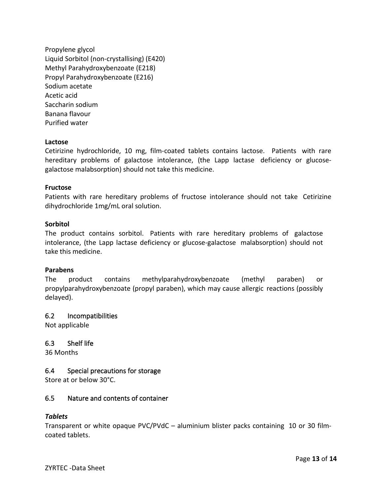Propylene glycol Liquid Sorbitol (non-crystallising) (E420) Methyl Parahydroxybenzoate (E218) Propyl Parahydroxybenzoate (E216) Sodium acetate Acetic acid Saccharin sodium Banana flavour Purified water

### **Lactose**

Cetirizine hydrochloride, 10 mg, film-coated tablets contains lactose. Patients with rare hereditary problems of galactose intolerance, (the Lapp lactase deficiency or glucosegalactose malabsorption) should not take this medicine.

### **Fructose**

Patients with rare hereditary problems of fructose intolerance should not take Cetirizine dihydrochloride 1mg/mL oral solution.

#### **Sorbitol**

The product contains sorbitol. Patients with rare hereditary problems of galactose intolerance, (the Lapp lactase deficiency or glucose-galactose malabsorption) should not take this medicine.

### **Parabens**

The product contains methylparahydroxybenzoate (methyl paraben) or propylparahydroxybenzoate (propyl paraben), which may cause allergic reactions (possibly delayed).

#### 6.2 Incompatibilities

Not applicable

### 6.3 Shelf life

36 Months

### 6.4 Special precautions for storage

Store at or below 30°C.

### 6.5 Nature and contents of container

### *Tablets*

Transparent or white opaque PVC/PVdC – aluminium blister packs containing 10 or 30 filmcoated tablets.